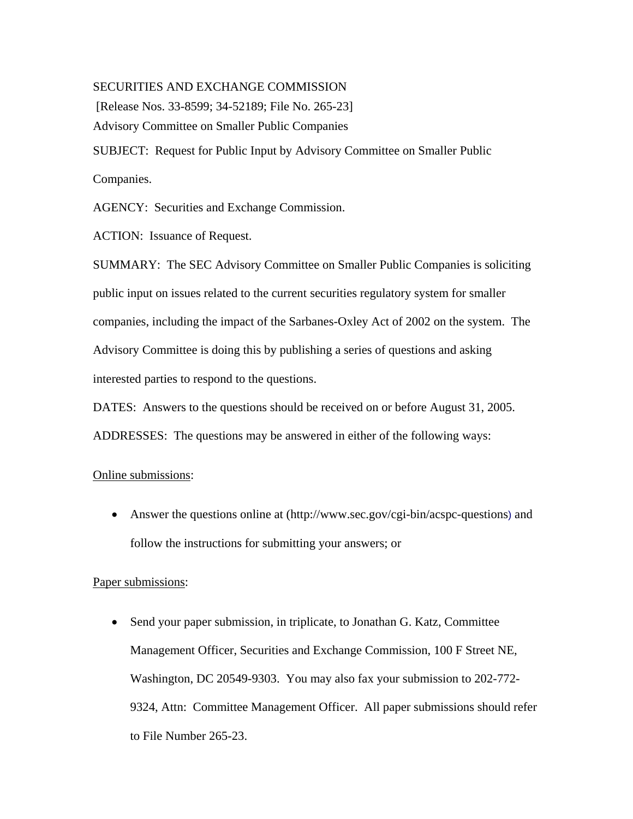## SECURITIES AND EXCHANGE COMMISSION

[Release Nos. 33-8599; 34-52189; File No. 265-23]

Advisory Committee on Smaller Public Companies

SUBJECT: Request for Public Input by Advisory Committee on Smaller Public Companies.

AGENCY: Securities and Exchange Commission.

ACTION: Issuance of Request.

SUMMARY: The SEC Advisory Committee on Smaller Public Companies is soliciting public input on issues related to the current securities regulatory system for smaller companies, including the impact of the Sarbanes-Oxley Act of 2002 on the system. The Advisory Committee is doing this by publishing a series of questions and asking interested parties to respond to the questions.

DATES: Answers to the questions should be received on or before August 31, 2005. ADDRESSES: The questions may be answered in either of the following ways:

# Online submissions:

• Answer the questions online at (http://www.sec.gov/cgi-bin/acspc-questions) and follow the instructions for submitting your answers; or

# Paper submissions:

• Send your paper submission, in triplicate, to Jonathan G. Katz, Committee Management Officer, Securities and Exchange Commission, 100 F Street NE, Washington, DC 20549-9303. You may also fax your submission to 202-772- 9324, Attn: Committee Management Officer. All paper submissions should refer to File Number 265-23.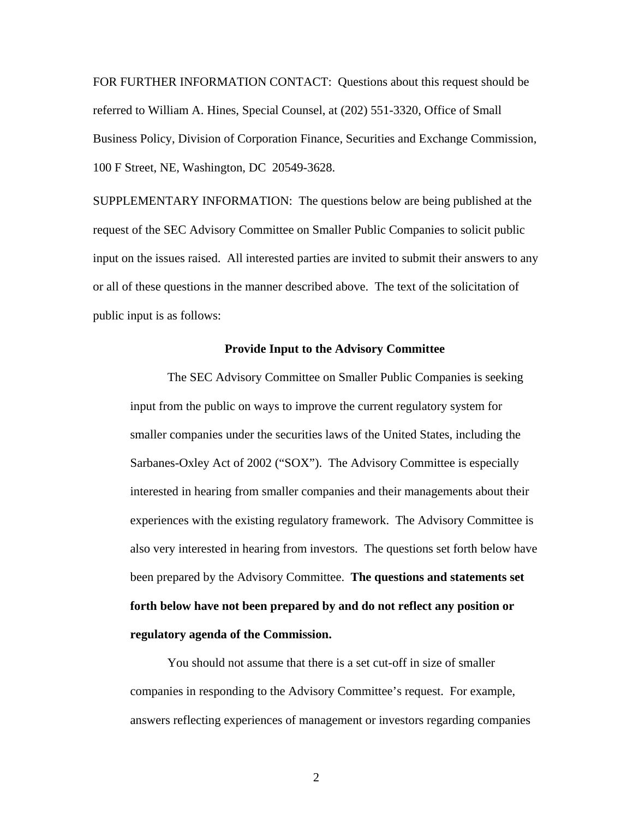FOR FURTHER INFORMATION CONTACT: Questions about this request should be referred to William A. Hines, Special Counsel, at (202) 551-3320, Office of Small Business Policy, Division of Corporation Finance, Securities and Exchange Commission, 100 F Street, NE, Washington, DC 20549-3628.

SUPPLEMENTARY INFORMATION: The questions below are being published at the request of the SEC Advisory Committee on Smaller Public Companies to solicit public input on the issues raised. All interested parties are invited to submit their answers to any or all of these questions in the manner described above. The text of the solicitation of public input is as follows:

#### **Provide Input to the Advisory Committee**

The SEC Advisory Committee on Smaller Public Companies is seeking input from the public on ways to improve the current regulatory system for smaller companies under the securities laws of the United States, including the Sarbanes-Oxley Act of 2002 ("SOX"). The Advisory Committee is especially interested in hearing from smaller companies and their managements about their experiences with the existing regulatory framework. The Advisory Committee is also very interested in hearing from investors. The questions set forth below have been prepared by the Advisory Committee. **The questions and statements set forth below have not been prepared by and do not reflect any position or regulatory agenda of the Commission.** 

You should not assume that there is a set cut-off in size of smaller companies in responding to the Advisory Committee's request. For example, answers reflecting experiences of management or investors regarding companies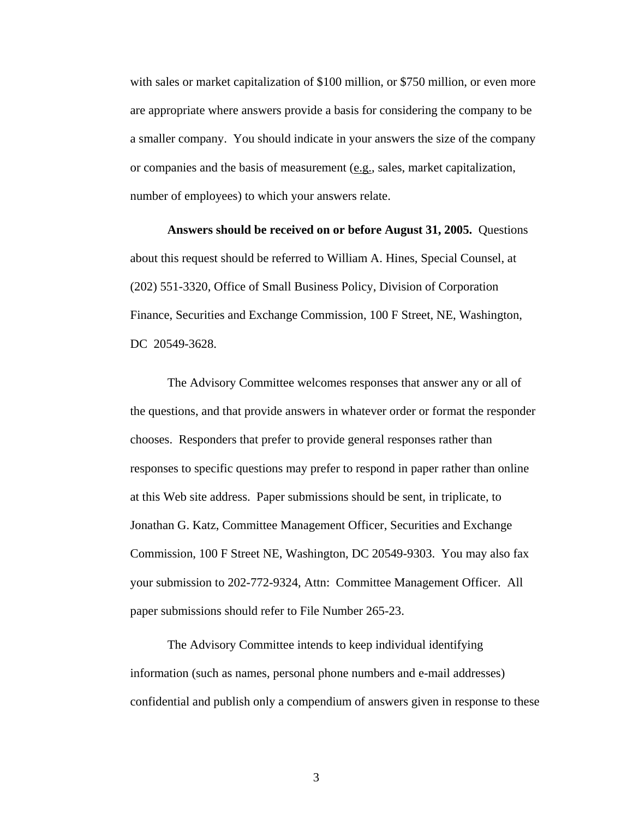with sales or market capitalization of \$100 million, or \$750 million, or even more are appropriate where answers provide a basis for considering the company to be a smaller company. You should indicate in your answers the size of the company or companies and the basis of measurement (e.g., sales, market capitalization, number of employees) to which your answers relate.

**Answers should be received on or before August 31, 2005.** Questions about this request should be referred to William A. Hines, Special Counsel, at (202) 551-3320, Office of Small Business Policy, Division of Corporation Finance, Securities and Exchange Commission, 100 F Street, NE, Washington, DC 20549-3628.

The Advisory Committee welcomes responses that answer any or all of the questions, and that provide answers in whatever order or format the responder chooses. Responders that prefer to provide general responses rather than responses to specific questions may prefer to respond in paper rather than online at this Web site address. Paper submissions should be sent, in triplicate, to Jonathan G. Katz, Committee Management Officer, Securities and Exchange Commission, 100 F Street NE, Washington, DC 20549-9303. You may also fax your submission to 202-772-9324, Attn: Committee Management Officer. All paper submissions should refer to File Number 265-23.

The Advisory Committee intends to keep individual identifying information (such as names, personal phone numbers and e-mail addresses) confidential and publish only a compendium of answers given in response to these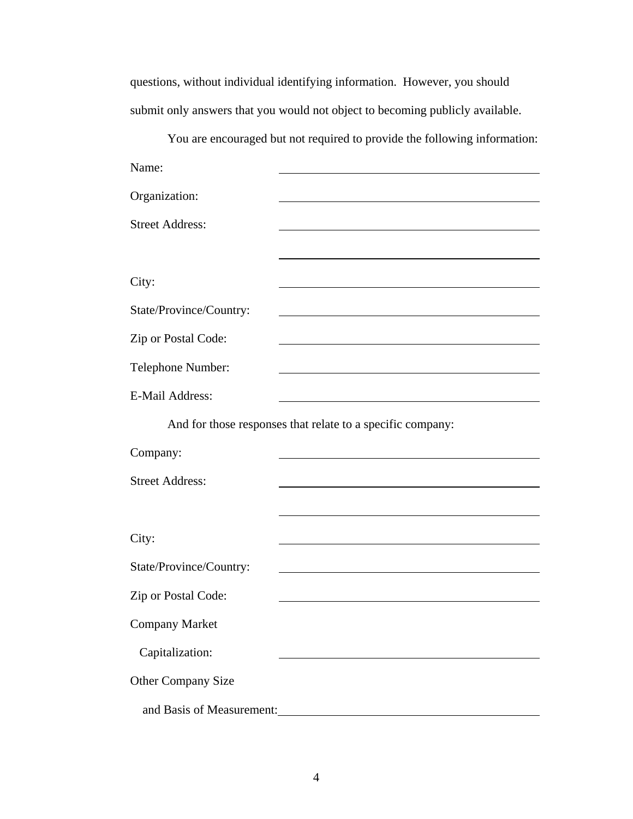questions, without individual identifying information. However, you should submit only answers that you would not object to becoming publicly available.

You are encouraged but not required to provide the following information: Name: Organization: <u> 1980 - Johann Barn, mars ann an t-Amhain Aonaich an t-Aonaich an t-Aonaich ann an t-Aonaich ann an t-Aonaich</u> Street Address: City: State/Province/Country: <u> 1980 - Johann Barbara, martxa alemaniar amerikan a</u> Zip or Postal Code: <u> 1989 - Johann Stoff, deutscher Stoffen und der Stoffen und der Stoffen und der Stoffen und der Stoffen und der</u> Telephone Number: E-Mail Address: <u> 1980 - Johann Barbara, martin amerikan basar dan basar dan basar dalam basar dalam basar dalam basar dalam b</u> And for those responses that relate to a specific company: Company: L.

| Company:                  |  |
|---------------------------|--|
| <b>Street Address:</b>    |  |
|                           |  |
| City:                     |  |
| State/Province/Country:   |  |
| Zip or Postal Code:       |  |
|                           |  |
| <b>Company Market</b>     |  |
| Capitalization:           |  |
| <b>Other Company Size</b> |  |
| and Basis of Measurement: |  |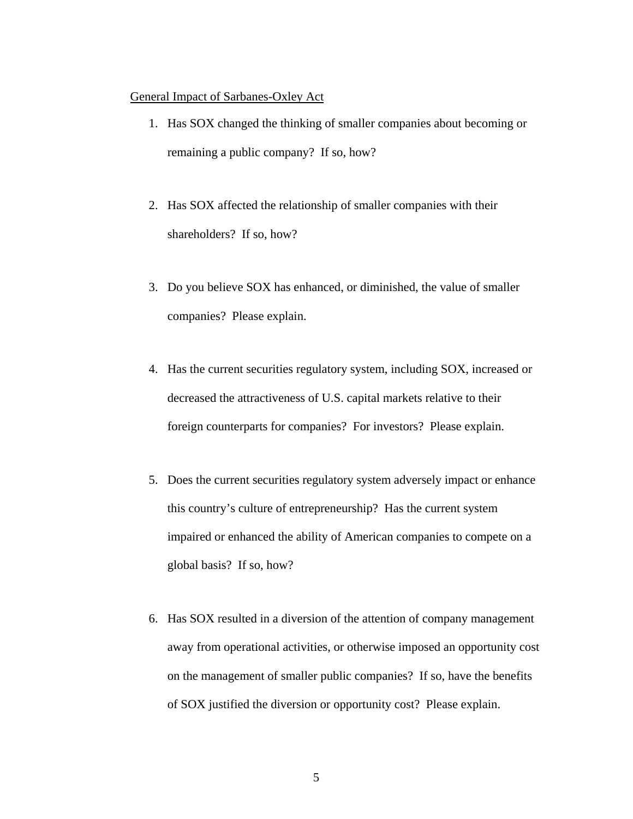## General Impact of Sarbanes-Oxley Act

- 1. Has SOX changed the thinking of smaller companies about becoming or remaining a public company? If so, how?
- 2. Has SOX affected the relationship of smaller companies with their shareholders? If so, how?
- 3. Do you believe SOX has enhanced, or diminished, the value of smaller companies? Please explain.
- 4. Has the current securities regulatory system, including SOX, increased or decreased the attractiveness of U.S. capital markets relative to their foreign counterparts for companies? For investors? Please explain.
- 5. Does the current securities regulatory system adversely impact or enhance this country's culture of entrepreneurship? Has the current system impaired or enhanced the ability of American companies to compete on a global basis? If so, how?
- 6. Has SOX resulted in a diversion of the attention of company management away from operational activities, or otherwise imposed an opportunity cost on the management of smaller public companies? If so, have the benefits of SOX justified the diversion or opportunity cost? Please explain.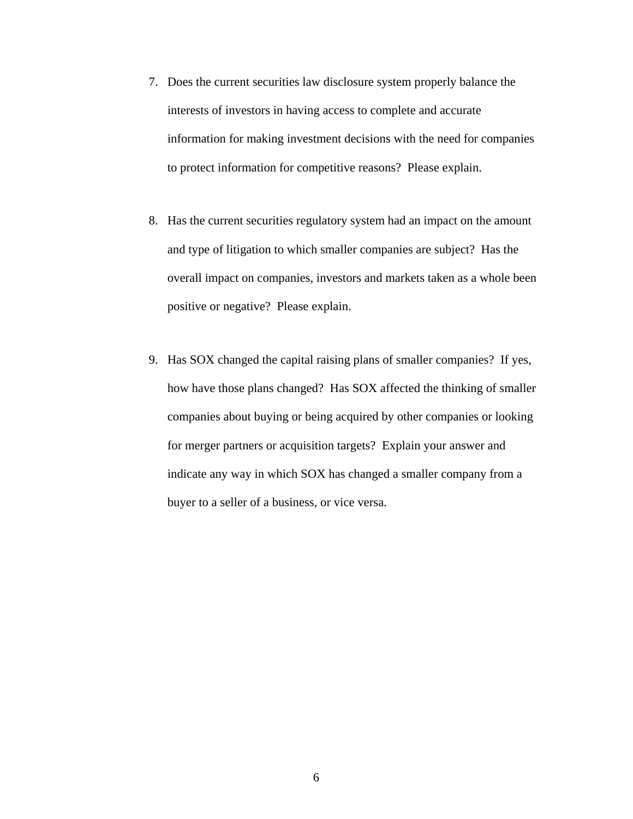- 7. Does the current securities law disclosure system properly balance the interests of investors in having access to complete and accurate information for making investment decisions with the need for companies to protect information for competitive reasons? Please explain.
- 8. Has the current securities regulatory system had an impact on the amount and type of litigation to which smaller companies are subject? Has the overall impact on companies, investors and markets taken as a whole been positive or negative? Please explain.
- 9. Has SOX changed the capital raising plans of smaller companies? If yes, how have those plans changed? Has SOX affected the thinking of smaller companies about buying or being acquired by other companies or looking for merger partners or acquisition targets? Explain your answer and indicate any way in which SOX has changed a smaller company from a buyer to a seller of a business, or vice versa.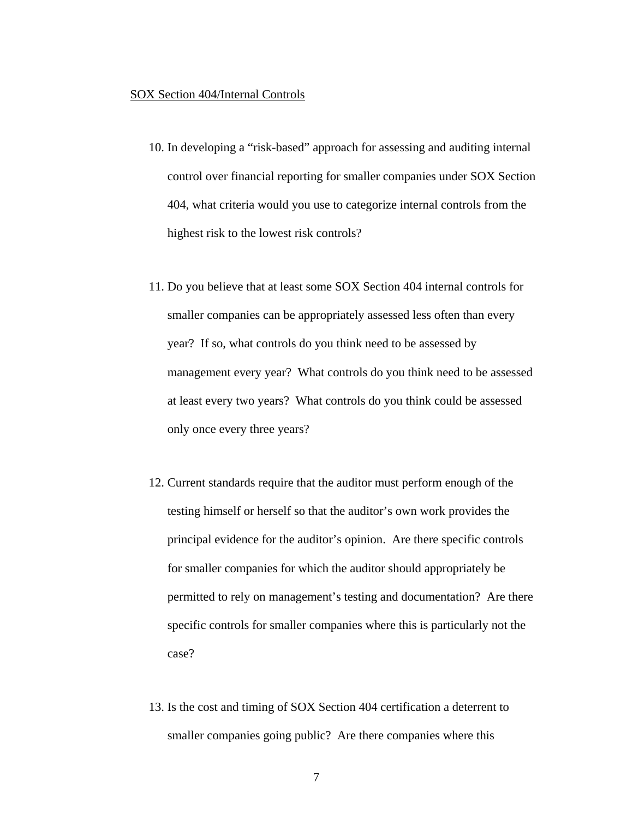#### SOX Section 404/Internal Controls

- 10. In developing a "risk-based" approach for assessing and auditing internal control over financial reporting for smaller companies under SOX Section 404, what criteria would you use to categorize internal controls from the highest risk to the lowest risk controls?
- 11. Do you believe that at least some SOX Section 404 internal controls for smaller companies can be appropriately assessed less often than every year? If so, what controls do you think need to be assessed by management every year? What controls do you think need to be assessed at least every two years? What controls do you think could be assessed only once every three years?
- 12. Current standards require that the auditor must perform enough of the testing himself or herself so that the auditor's own work provides the principal evidence for the auditor's opinion. Are there specific controls for smaller companies for which the auditor should appropriately be permitted to rely on management's testing and documentation? Are there specific controls for smaller companies where this is particularly not the case?
- 13. Is the cost and timing of SOX Section 404 certification a deterrent to smaller companies going public? Are there companies where this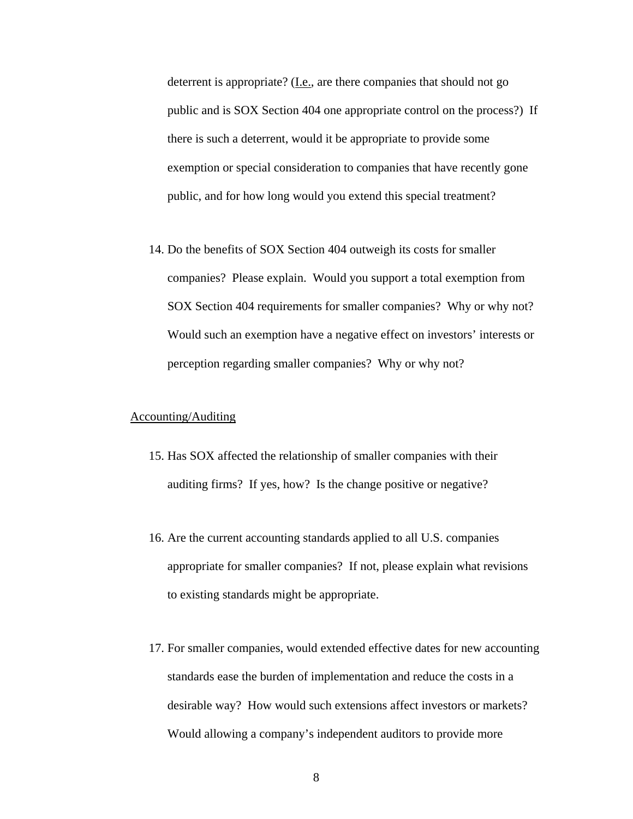deterrent is appropriate? (I.e., are there companies that should not go public and is SOX Section 404 one appropriate control on the process?) If there is such a deterrent, would it be appropriate to provide some exemption or special consideration to companies that have recently gone public, and for how long would you extend this special treatment?

14. Do the benefits of SOX Section 404 outweigh its costs for smaller companies? Please explain. Would you support a total exemption from SOX Section 404 requirements for smaller companies? Why or why not? Would such an exemption have a negative effect on investors' interests or perception regarding smaller companies? Why or why not?

## Accounting/Auditing

- 15. Has SOX affected the relationship of smaller companies with their auditing firms? If yes, how? Is the change positive or negative?
- 16. Are the current accounting standards applied to all U.S. companies appropriate for smaller companies? If not, please explain what revisions to existing standards might be appropriate.
- 17. For smaller companies, would extended effective dates for new accounting standards ease the burden of implementation and reduce the costs in a desirable way? How would such extensions affect investors or markets? Would allowing a company's independent auditors to provide more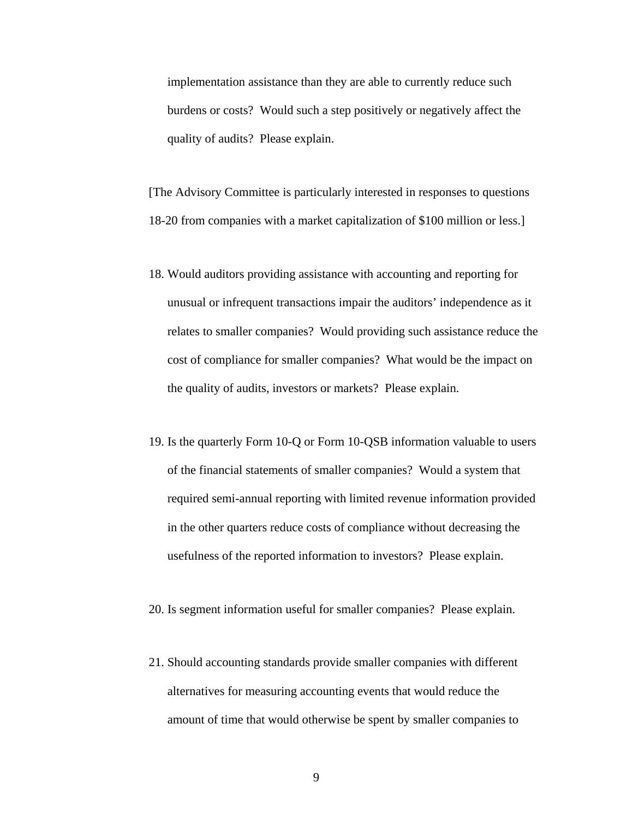implementation assistance than they are able to currently reduce such burdens or costs? Would such a step positively or negatively affect the quality of audits? Please explain.

[The Advisory Committee is particularly interested in responses to questions 18-20 from companies with a market capitalization of \$100 million or less.]

- 18. Would auditors providing assistance with accounting and reporting for unusual or infrequent transactions impair the auditors' independence as it relates to smaller companies? Would providing such assistance reduce the cost of compliance for smaller companies? What would be the impact on the quality of audits, investors or markets? Please explain.
- 19. Is the quarterly Form 10-Q or Form 10-QSB information valuable to users of the financial statements of smaller companies? Would a system that required semi-annual reporting with limited revenue information provided in the other quarters reduce costs of compliance without decreasing the usefulness of the reported information to investors? Please explain.
- 20. Is segment information useful for smaller companies? Please explain.
- 21. Should accounting standards provide smaller companies with different alternatives for measuring accounting events that would reduce the amount of time that would otherwise be spent by smaller companies to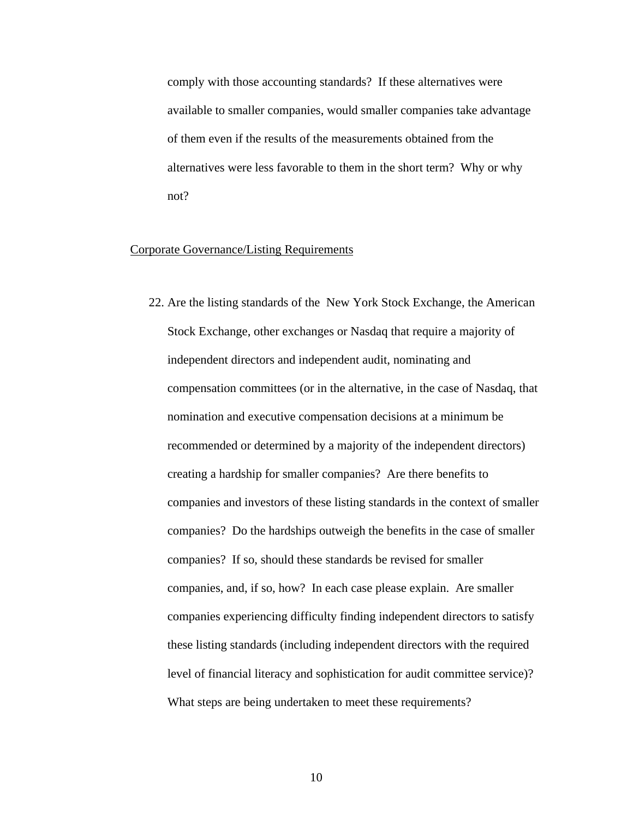comply with those accounting standards? If these alternatives were available to smaller companies, would smaller companies take advantage of them even if the results of the measurements obtained from the alternatives were less favorable to them in the short term? Why or why not?

## Corporate Governance/Listing Requirements

22. Are the listing standards of the New York Stock Exchange, the American Stock Exchange, other exchanges or Nasdaq that require a majority of independent directors and independent audit, nominating and compensation committees (or in the alternative, in the case of Nasdaq, that nomination and executive compensation decisions at a minimum be recommended or determined by a majority of the independent directors) creating a hardship for smaller companies? Are there benefits to companies and investors of these listing standards in the context of smaller companies? Do the hardships outweigh the benefits in the case of smaller companies? If so, should these standards be revised for smaller companies, and, if so, how? In each case please explain. Are smaller companies experiencing difficulty finding independent directors to satisfy these listing standards (including independent directors with the required level of financial literacy and sophistication for audit committee service)? What steps are being undertaken to meet these requirements?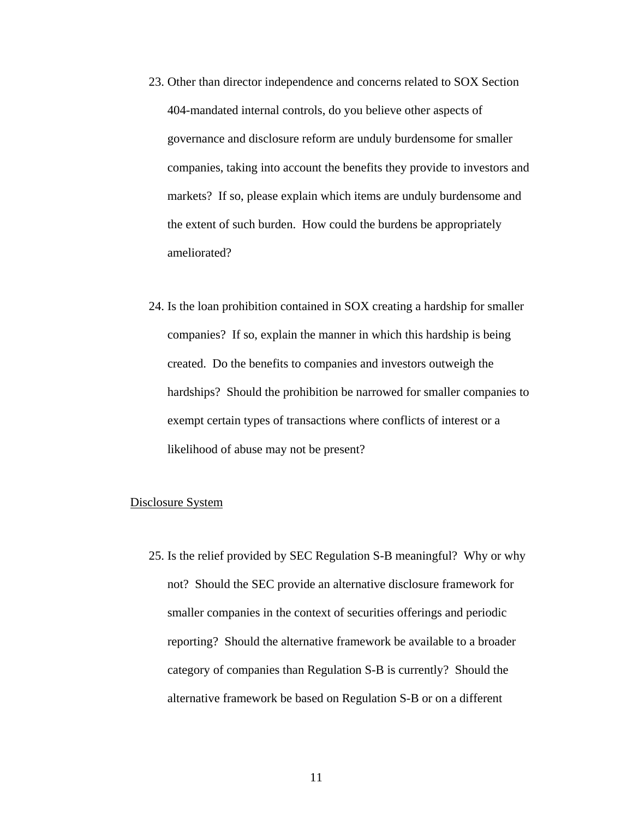- 23. Other than director independence and concerns related to SOX Section 404-mandated internal controls, do you believe other aspects of governance and disclosure reform are unduly burdensome for smaller companies, taking into account the benefits they provide to investors and markets? If so, please explain which items are unduly burdensome and the extent of such burden. How could the burdens be appropriately ameliorated?
- 24. Is the loan prohibition contained in SOX creating a hardship for smaller companies? If so, explain the manner in which this hardship is being created. Do the benefits to companies and investors outweigh the hardships? Should the prohibition be narrowed for smaller companies to exempt certain types of transactions where conflicts of interest or a likelihood of abuse may not be present?

### Disclosure System

25. Is the relief provided by SEC Regulation S-B meaningful? Why or why not? Should the SEC provide an alternative disclosure framework for smaller companies in the context of securities offerings and periodic reporting? Should the alternative framework be available to a broader category of companies than Regulation S-B is currently? Should the alternative framework be based on Regulation S-B or on a different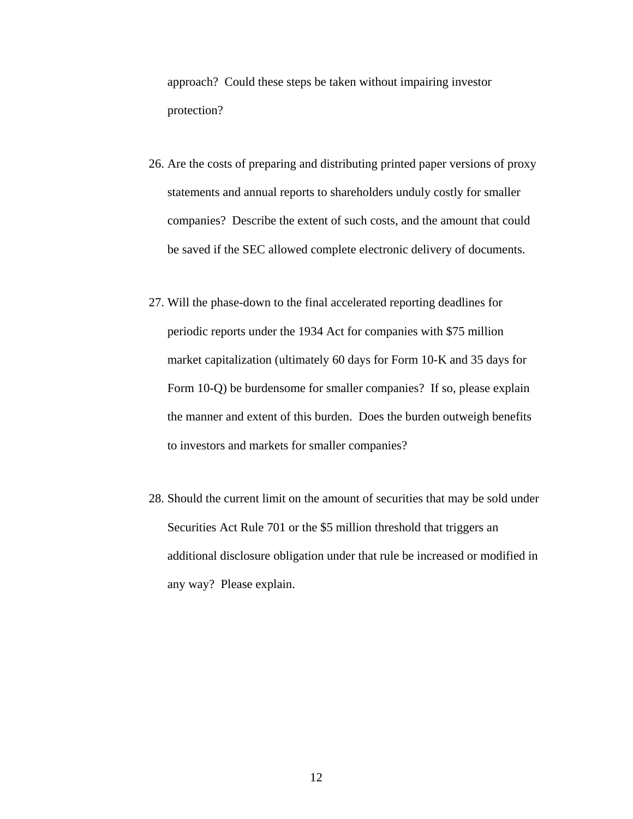approach? Could these steps be taken without impairing investor protection?

- 26. Are the costs of preparing and distributing printed paper versions of proxy statements and annual reports to shareholders unduly costly for smaller companies? Describe the extent of such costs, and the amount that could be saved if the SEC allowed complete electronic delivery of documents.
- 27. Will the phase-down to the final accelerated reporting deadlines for periodic reports under the 1934 Act for companies with \$75 million market capitalization (ultimately 60 days for Form 10-K and 35 days for Form 10-Q) be burdensome for smaller companies? If so, please explain the manner and extent of this burden. Does the burden outweigh benefits to investors and markets for smaller companies?
- 28. Should the current limit on the amount of securities that may be sold under Securities Act Rule 701 or the \$5 million threshold that triggers an additional disclosure obligation under that rule be increased or modified in any way? Please explain.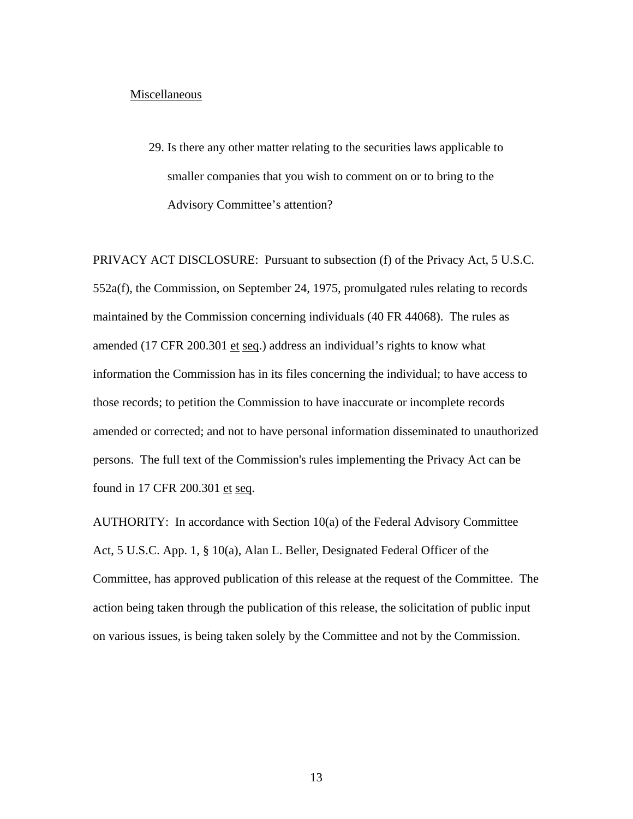#### Miscellaneous

29. Is there any other matter relating to the securities laws applicable to smaller companies that you wish to comment on or to bring to the Advisory Committee's attention?

PRIVACY ACT DISCLOSURE: Pursuant to subsection (f) of the Privacy Act, [5 U.S.C.](http://www.lexis.com/research/buttonTFLink?_m=4836a0f166c82a4bc810d8a9072e69b0&_xfercite=%3ccite%20cc%3d%22USA%22%3e%3c%21%5bCDATA%5b66%20FR%2041842%5d%5d%3e%3c%2fcite%3e&_butType=4&_butStat=0&_butNum=5&_butInline=1&_butinfo=5%20USC%20552A&_fmtstr=VKWIC&docnum=42&_startdoc=41&wchp=dGLbVzz-zSkAV&_md5=ba0b5aa3ba8aef296489072010dd26bc)  [552a](http://www.lexis.com/research/buttonTFLink?_m=4836a0f166c82a4bc810d8a9072e69b0&_xfercite=%3ccite%20cc%3d%22USA%22%3e%3c%21%5bCDATA%5b66%20FR%2041842%5d%5d%3e%3c%2fcite%3e&_butType=4&_butStat=0&_butNum=5&_butInline=1&_butinfo=5%20USC%20552A&_fmtstr=VKWIC&docnum=42&_startdoc=41&wchp=dGLbVzz-zSkAV&_md5=ba0b5aa3ba8aef296489072010dd26bc)(f), the Commission, on September 24, 1975, promulgated rules relating to records maintained by the Commission concerning individuals (40 FR 44068). The rules as amended (17 CFR 200.301 et seq.) address an individual's rights to know what information the Commission has in its files concerning the individual; to have access to those records; to petition the Commission to have inaccurate or incomplete records amended or corrected; and not to have personal information disseminated to unauthorized persons. The full text of the Commission's rules implementing the Privacy Act can be found in 17 CFR 200.301 et seq.

AUTHORITY: In accordance with Section 10(a) of the Federal Advisory Committee Act, 5 U.S.C. App. 1, § 10(a), Alan L. Beller, Designated Federal Officer of the Committee, has approved publication of this release at the request of the Committee. The action being taken through the publication of this release, the solicitation of public input on various issues, is being taken solely by the Committee and not by the Commission.